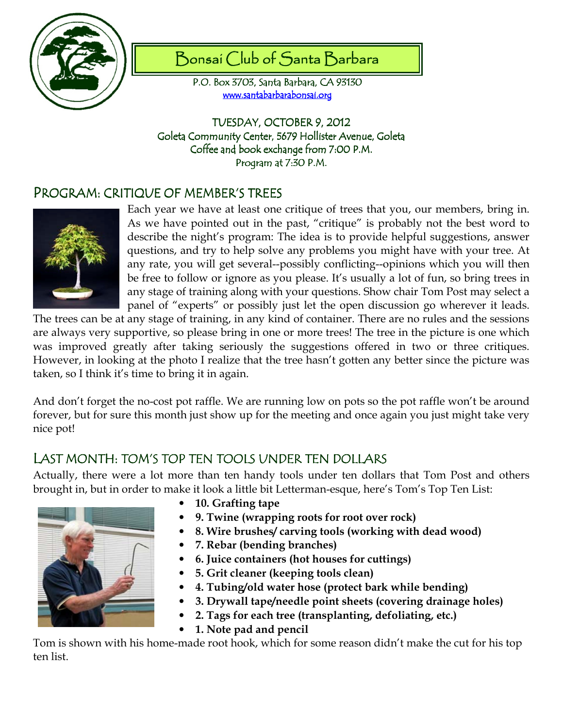

# Bonsai Club of Santa Barbara

P.O. Box 3703, Santa Barbara, CA 93130 www.santabarbarabonsai.org

TUESDAY, OCTOBER 9, 2012 Goleta Community Center, 5679 Hollister Avenue, Goleta Coffee and book exchange from 7:00 P.M. Program at 7:30 P.M.

## PROGRAM: CRITIQUE OF MEMBER'S TREES



Each year we have at least one critique of trees that you, our members, bring in. As we have pointed out in the past, "critique" is probably not the best word to describe the night's program: The idea is to provide helpful suggestions, answer questions, and try to help solve any problems you might have with your tree. At any rate, you will get several--possibly conflicting--opinions which you will then be free to follow or ignore as you please. It's usually a lot of fun, so bring trees in any stage of training along with your questions. Show chair Tom Post may select a panel of "experts" or possibly just let the open discussion go wherever it leads.

The trees can be at any stage of training, in any kind of container. There are no rules and the sessions are always very supportive, so please bring in one or more trees! The tree in the picture is one which was improved greatly after taking seriously the suggestions offered in two or three critiques. However, in looking at the photo I realize that the tree hasn't gotten any better since the picture was taken, so I think it's time to bring it in again.

And don't forget the no-cost pot raffle. We are running low on pots so the pot raffle won't be around forever, but for sure this month just show up for the meeting and once again you just might take very nice pot!

## LAST MONTH: TOM'S TOP TEN TOOLS UNDER TEN DOLLARS

Actually, there were a lot more than ten handy tools under ten dollars that Tom Post and others brought in, but in order to make it look a little bit Letterman-esque, here's Tom's Top Ten List:



- 10. Grafting tape
- 9. Twine (wrapping roots for root over rock)
- 8. Wire brushes/ carving tools (working with dead wood)
- 7. Rebar (bending branches)
- 6. Juice containers (hot houses for cuttings)
- 5. Grit cleaner (keeping tools clean)
- 4. Tubing/old water hose (protect bark while bending)
- 3. Drywall tape/needle point sheets (covering drainage holes)
- 2. Tags for each tree (transplanting, defoliating, etc.)
- 1. Note pad and pencil

Tom is shown with his home-made root hook, which for some reason didn't make the cut for his top ten list.